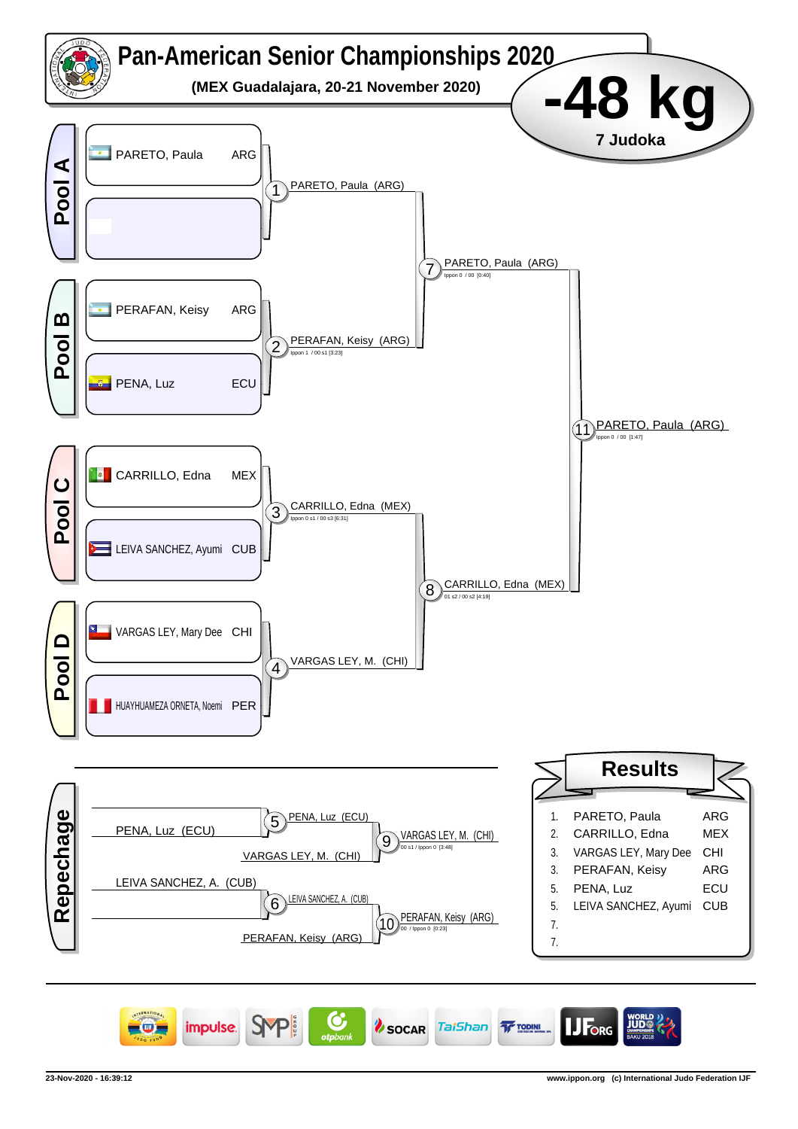

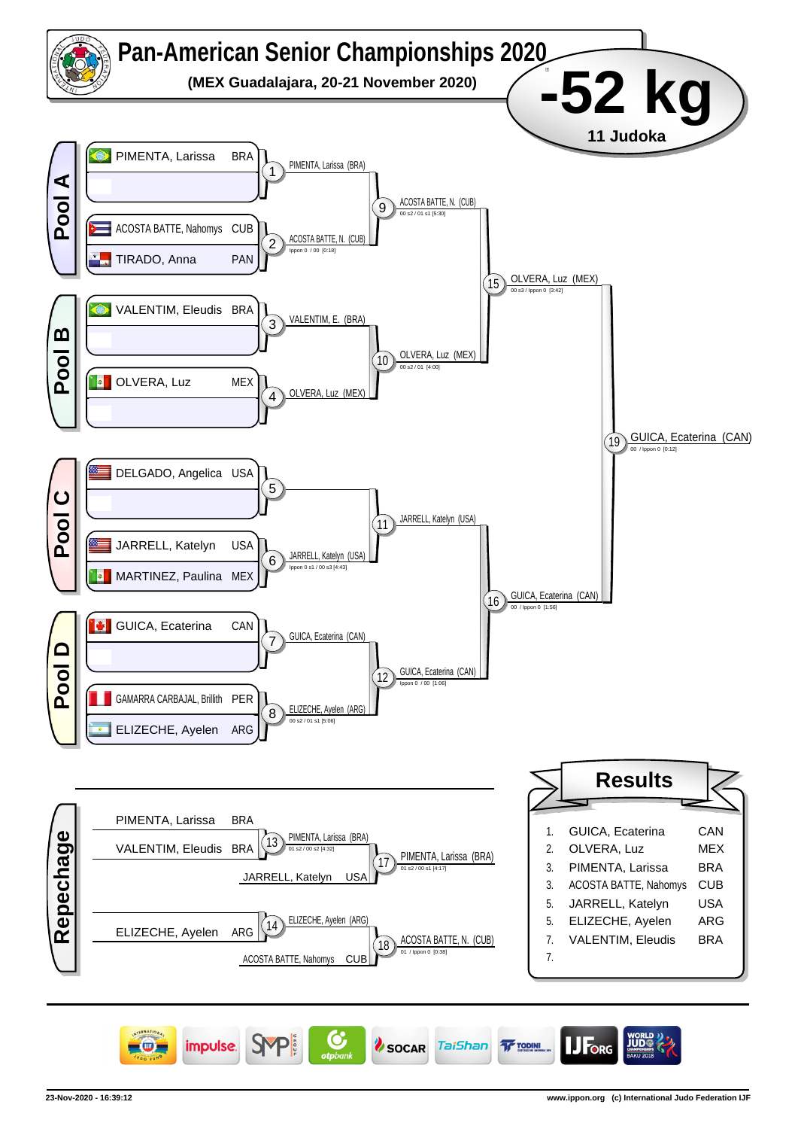

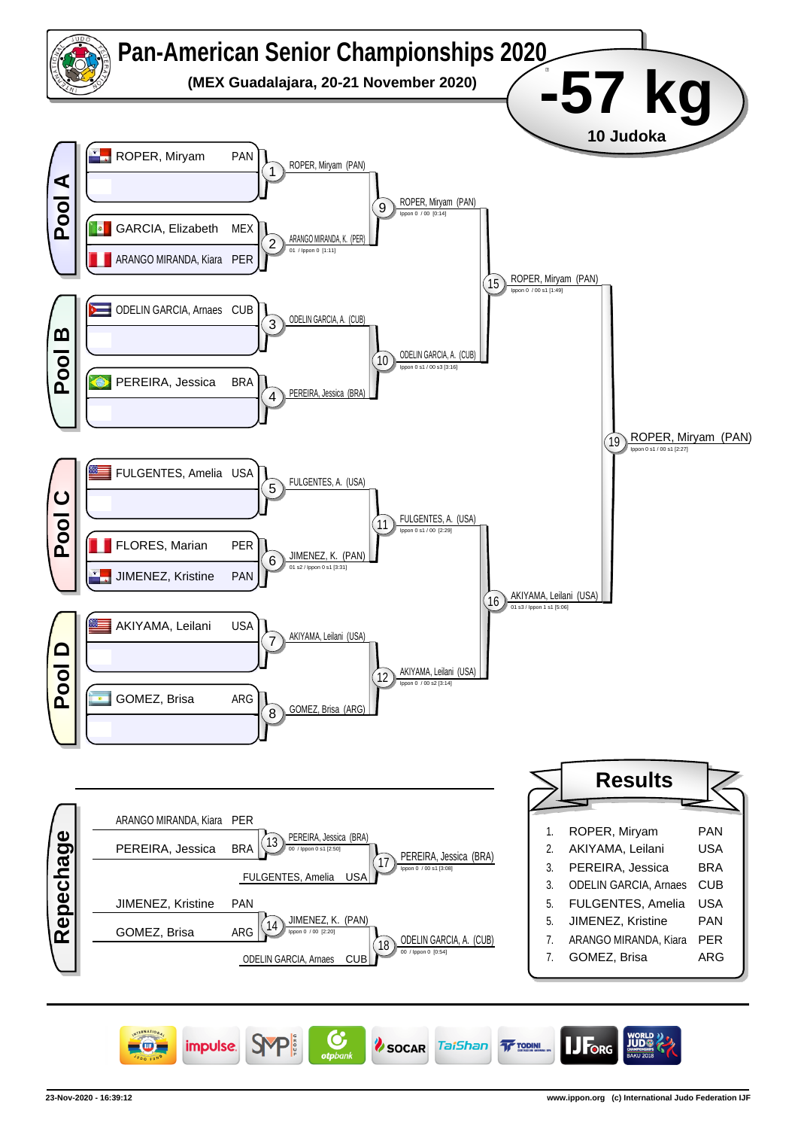

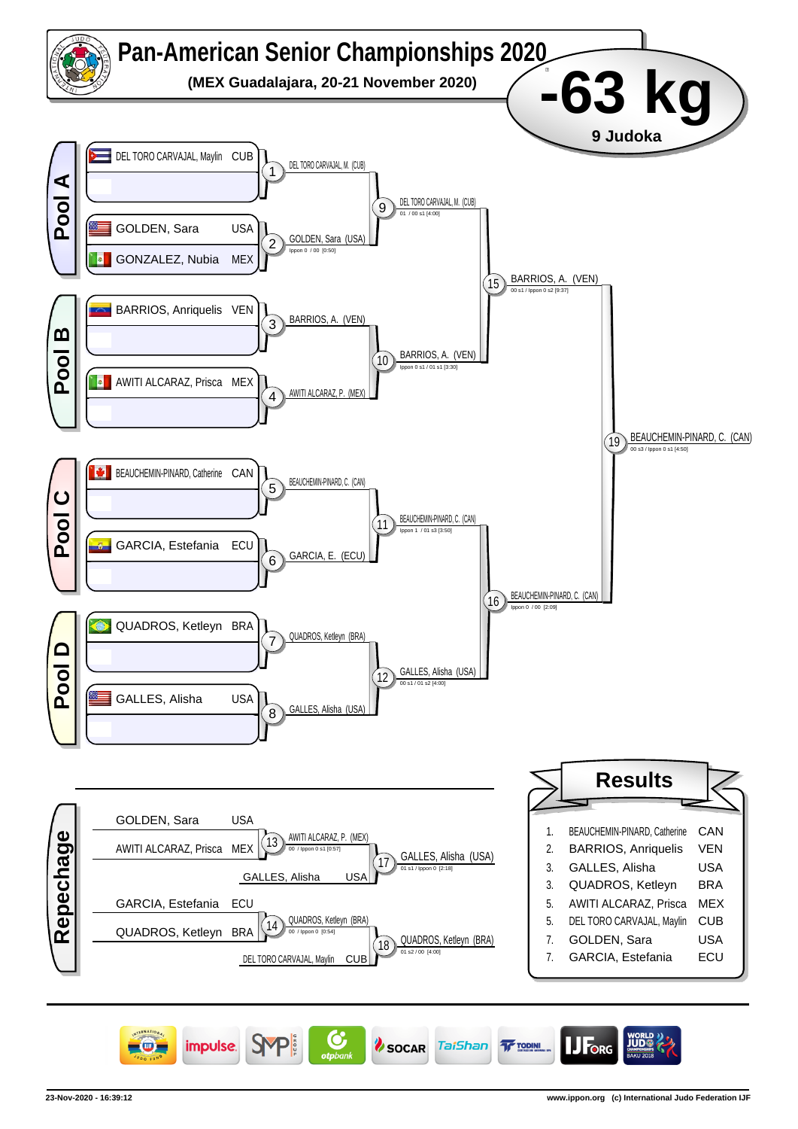

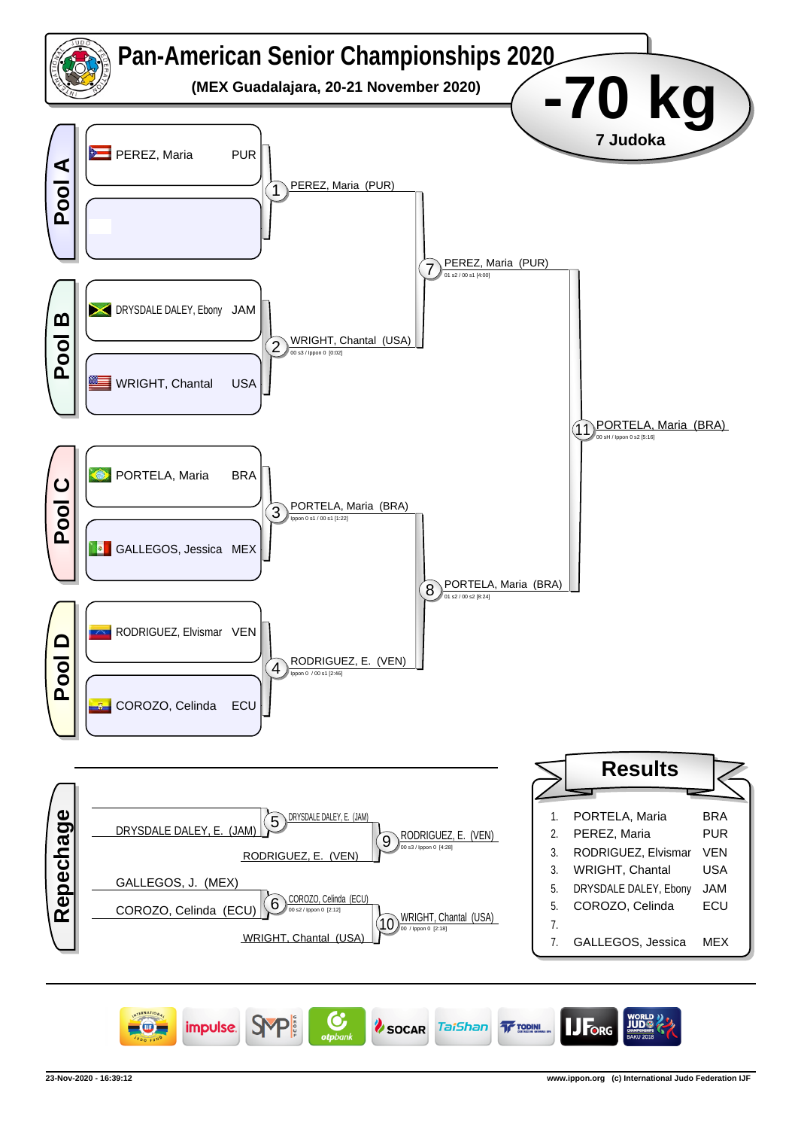

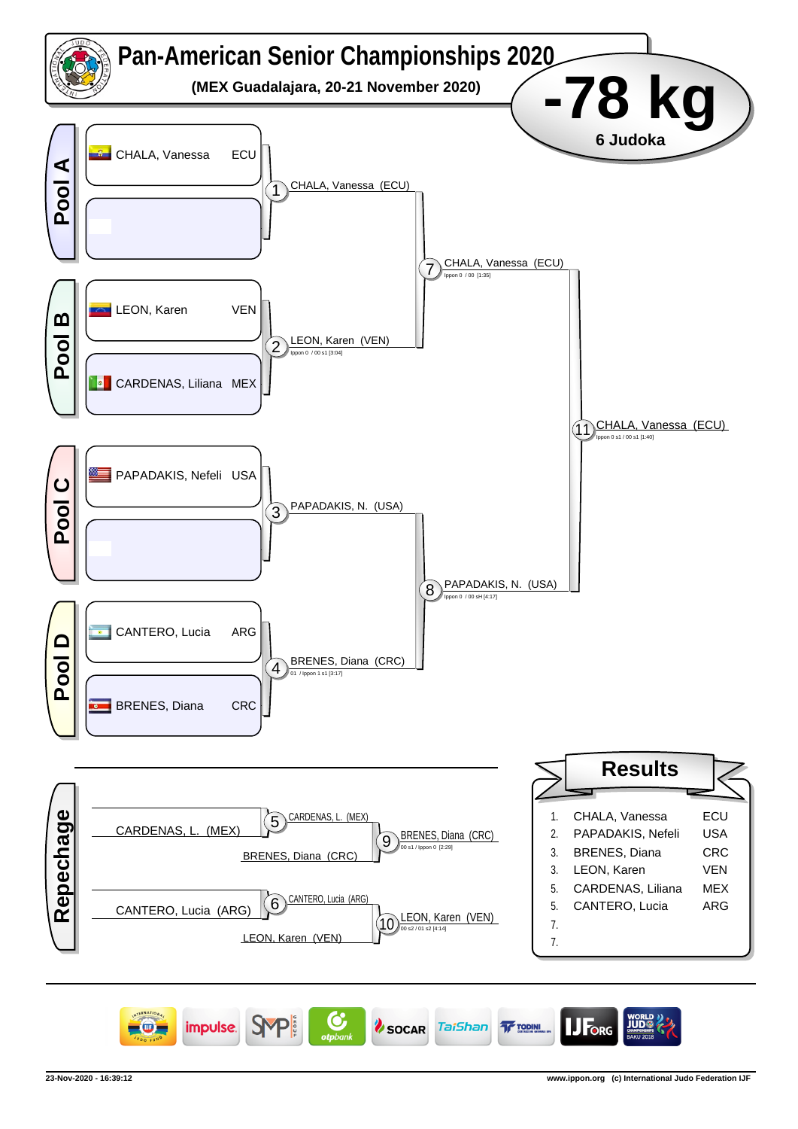